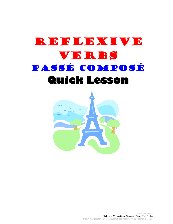## REFELEXIVE Verbs PassÉ ComposÉ **Quick Lesson**

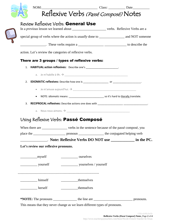|                                                         | Reflexive Verbs (Passé Composé) Notes                                                             | NOM: Date |  |  |  |
|---------------------------------------------------------|---------------------------------------------------------------------------------------------------|-----------|--|--|--|
| Review Reflexive Verbs: General Use                     |                                                                                                   |           |  |  |  |
|                                                         | special group of verbs where the action is <i>usually</i> done to _______________ and NOT someone |           |  |  |  |
|                                                         |                                                                                                   |           |  |  |  |
| action. Let's review the categories of reflexive verbs. |                                                                                                   |           |  |  |  |
| There are 3 groups / types of reflexive verbs:          |                                                                                                   |           |  |  |  |
|                                                         | 1. HABITUAL action reflexives: Describe one's ____________________.                               |           |  |  |  |
|                                                         |                                                                                                   |           |  |  |  |
|                                                         |                                                                                                   |           |  |  |  |
|                                                         |                                                                                                   |           |  |  |  |
| $\bullet$                                               | NOTE: idiomatic means: __________________________________ so it's hard to literally translate.    |           |  |  |  |
|                                                         |                                                                                                   |           |  |  |  |
|                                                         |                                                                                                   |           |  |  |  |
|                                                         |                                                                                                   |           |  |  |  |
|                                                         | Using Reflexive Verbs: Passé Composé                                                              |           |  |  |  |
|                                                         |                                                                                                   |           |  |  |  |
|                                                         | When there are _______________ verbs in the sentence because of the passé composé, you            |           |  |  |  |
|                                                         | Note: Reflexive Verbs DO NOT use _____________ in the PC.                                         |           |  |  |  |
| Let's review our reflexive pronouns.                    |                                                                                                   |           |  |  |  |
| myself                                                  | <u>________</u> ourselves                                                                         |           |  |  |  |
|                                                         |                                                                                                   |           |  |  |  |
|                                                         |                                                                                                   |           |  |  |  |
| himself                                                 | themselves                                                                                        |           |  |  |  |
| $\frac{1}{\sqrt{1-\frac{1}{2}}}\text{herself}$          | themselves                                                                                        |           |  |  |  |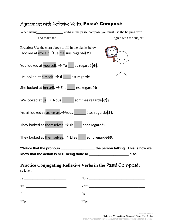| When using __________________ verbs in the passé composé you must use the helping verb                                        |       |
|-------------------------------------------------------------------------------------------------------------------------------|-------|
| Practice: Use the chart above to fill in the blanks below.<br>I looked at myself. $\rightarrow$ Je me suis regardé(e).        |       |
| You looked at yourself. $\rightarrow$ Tu $\Box$ es regardé(e).                                                                |       |
| He looked at himself. $\rightarrow$ II est regardé.                                                                           |       |
| She looked at herself. $\rightarrow$ Elle est regardée                                                                        |       |
| We looked at $us. \rightarrow Nous$ sommes regardé(e)s.                                                                       |       |
| You all looked at yourselves. $\rightarrow$ Vous etes regardé(s).                                                             |       |
| They looked at themselves. $\rightarrow$ IIs sont regardés.                                                                   |       |
| They looked at themselves. $\rightarrow$ Elles sont regardées.                                                                |       |
| *Notice that the pronoun _____________________the person talking. This is how we<br>know that the action is NOT being done to | else. |
| Practice Conjugating Reflexive Verbs in the Passé Composé:                                                                    |       |
| $\text{Je}\n$                                                                                                                 | Nous  |
|                                                                                                                               |       |

Il \_\_\_\_\_\_\_\_\_\_\_\_\_\_\_\_\_\_\_\_\_\_\_\_\_\_ Ils \_\_\_\_\_\_\_\_\_\_\_\_\_\_\_\_\_\_\_\_\_\_\_\_\_\_\_\_\_\_\_\_\_\_\_

Elle \_\_\_\_\_\_\_\_\_\_\_\_\_\_\_\_\_\_\_\_\_\_\_\_ Elles \_\_\_\_\_\_\_\_\_\_\_\_\_\_\_\_\_\_\_\_\_\_\_\_\_\_\_\_\_\_\_\_\_

## Agreement with Reflexive Verbs: Passé Composé